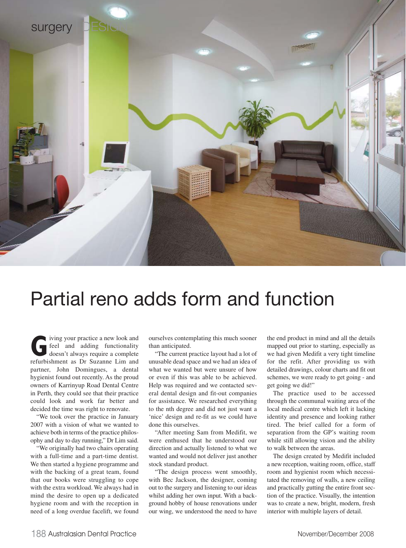

## Partial reno adds form and function

**G**iving your practice a new look and<br>feel and adding functionality<br>doesn't always require a complete<br>refurbishment as Dr Suzanne Lim and feel and adding functionality doesn't always require a complete refurbishment as Dr Suzanne Lim and partner, John Domingues, a dental hygienist found out recently. As the proud owners of Karrinyup Road Dental Centre in Perth, they could see that their practice could look and work far better and decided the time was right to renovate.

"We took over the practice in January 2007 with a vision of what we wanted to achieve both in terms of the practice philosophy and day to day running," Dr Lim said.

"We originally had two chairs operating with a full-time and a part-time dentist. We then started a hygiene programme and with the backing of a great team, found that our books were struggling to cope with the extra workload. We always had in mind the desire to open up a dedicated hygiene room and with the reception in need of a long overdue facelift, we found

ourselves contemplating this much sooner than anticipated.

"The current practice layout had a lot of unusable dead space and we had an idea of what we wanted but were unsure of how or even if this was able to be achieved. Help was required and we contacted several dental design and fit-out companies for assistance. We researched everything to the nth degree and did not just want a 'nice' design and re-fit as we could have done this ourselves.

"After meeting Sam from Medifit, we were enthused that he understood our direction and actually listened to what we wanted and would not deliver just another stock standard product.

"The design process went smoothly, with Bec Jackson, the designer, coming out to the surgery and listening to our ideas whilst adding her own input. With a background hobby of house renovations under our wing, we understood the need to have

the end product in mind and all the details mapped out prior to starting, especially as we had given Medifit a very tight timeline for the refit. After providing us with detailed drawings, colour charts and fit out schemes, we were ready to get going - and get going we did!"

The practice used to be accessed through the communal waiting area of the local medical centre which left it lacking identity and presence and looking rather tired. The brief called for a form of separation from the GP's waiting room while still allowing vision and the ability to walk between the areas.

The design created by Medifit included a new reception, waiting room, office, staff room and hygienist room which necessitated the removing of walls, a new ceiling and practically gutting the entire front section of the practice. Visually, the intention was to create a new, bright, modern, fresh interior with multiple layers of detail.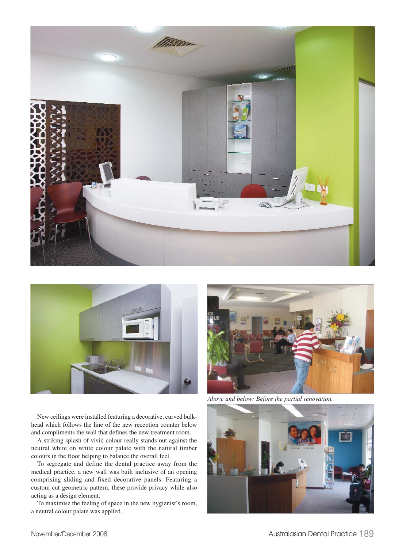



New ceilings were installed featuring a decorative, curved bulkhead which follows the line of the new reception counter below and compliments the wall that defines the new treatment room.

A striking splash of vivid colour really stands out against the neutral white on white colour palate with the natural timber colours in the floor helping to balance the overall feel.

To segregate and define the dental practice away from the medical practice, a new wall was built inclusive of an opening comprising sliding and fixed decorative panels. Featuring a custom cut geometric pattern, these provide privacy while also acting as a design element.

To maximise the feeling of space in the new hygienist's room, a neutral colour palate was applied.



*Above and below: Before the partial renovation.*